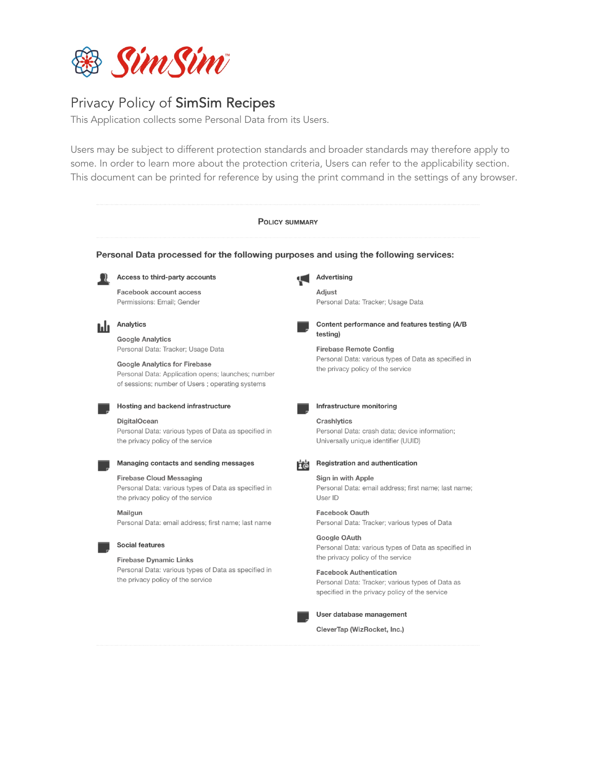

# Privacy Policy of SimSim Recipes

This Application collects some Personal Data from its Users.

Users may be subject to different protection standards and broader standards may therefore apply to some. In order to learn more about the protection criteria, Users can refer to the applicability section. This document can be printed for reference by using the print command in the settings of any browser.

| <b>POLICY SUMMARY</b><br>Personal Data processed for the following purposes and using the following services: |                                                                                                                                               |                                                                                                                                                                           |
|---------------------------------------------------------------------------------------------------------------|-----------------------------------------------------------------------------------------------------------------------------------------------|---------------------------------------------------------------------------------------------------------------------------------------------------------------------------|
|                                                                                                               |                                                                                                                                               |                                                                                                                                                                           |
|                                                                                                               | Facebook account access<br>Permissions: Email; Gender                                                                                         | Adjust<br>Personal Data: Tracker; Usage Data                                                                                                                              |
| hli                                                                                                           | Analytics                                                                                                                                     | Content performance and features testing (A/B<br>testing)                                                                                                                 |
|                                                                                                               | <b>Google Analytics</b><br>Personal Data: Tracker; Usage Data                                                                                 | <b>Firebase Remote Config</b>                                                                                                                                             |
|                                                                                                               | <b>Google Analytics for Firebase</b><br>Personal Data: Application opens; launches; number<br>of sessions; number of Users; operating systems | Personal Data: various types of Data as specified in<br>the privacy policy of the service                                                                                 |
|                                                                                                               | Hosting and backend infrastructure                                                                                                            | Infrastructure monitoring                                                                                                                                                 |
|                                                                                                               | <b>DigitalOcean</b><br>Personal Data: various types of Data as specified in<br>the privacy policy of the service                              | Crashlytics<br>Personal Data: crash data; device information;<br>Universally unique identifier (UUID)                                                                     |
|                                                                                                               | Managing contacts and sending messages                                                                                                        | <b>Registration and authentication</b><br><b>Fe</b>                                                                                                                       |
|                                                                                                               | <b>Firebase Cloud Messaging</b><br>Personal Data: various types of Data as specified in<br>the privacy policy of the service                  | Sign in with Apple<br>Personal Data: email address; first name; last name;<br>User ID                                                                                     |
|                                                                                                               | Mailgun<br>Personal Data: email address; first name; last name                                                                                | <b>Facebook Oauth</b><br>Personal Data: Tracker; various types of Data                                                                                                    |
|                                                                                                               | <b>Social features</b>                                                                                                                        | Google OAuth<br>Personal Data: various types of Data as specified in                                                                                                      |
|                                                                                                               | <b>Firebase Dynamic Links</b><br>Personal Data: various types of Data as specified in<br>the privacy policy of the service                    | the privacy policy of the service<br><b>Facebook Authentication</b><br>Personal Data: Tracker; various types of Data as<br>specified in the privacy policy of the service |
|                                                                                                               |                                                                                                                                               | User database management                                                                                                                                                  |
|                                                                                                               |                                                                                                                                               | CleverTap (WizRocket, Inc.)                                                                                                                                               |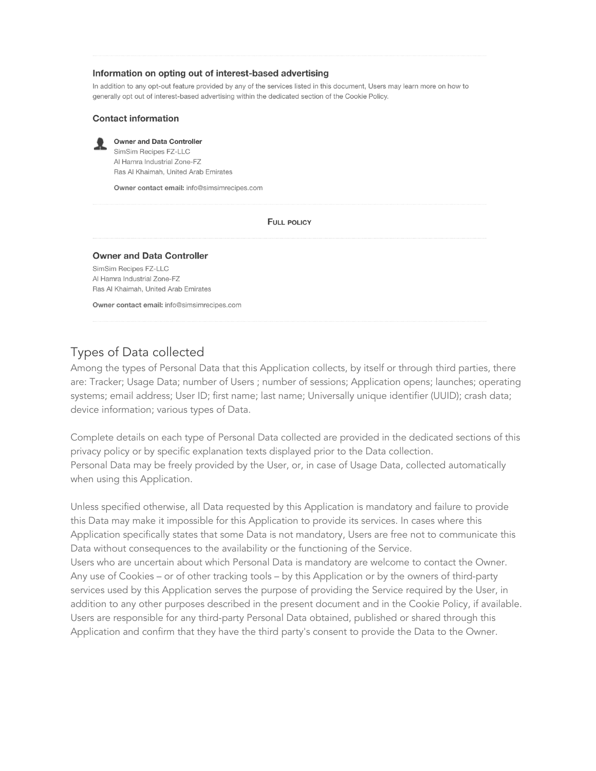#### Information on opting out of interest-based advertising

In addition to any opt-out feature provided by any of the services listed in this document, Users may learn more on how to generally opt out of interest-based advertising within the dedicated section of the Cookie Policy.

#### **Contact information**



Owner and Data Controller

SimSim Recipes FZ-LLC Al Hamra Industrial Zone-FZ Ras Al Khaimah, United Arab Emirates

Owner contact email: info@simsimrecipes.com

#### **FULL POLICY**

#### **Owner and Data Controller**

SimSim Recipes FZ-LLC Al Hamra Industrial Zone-FZ Ras Al Khaimah, United Arab Emirates

Owner contact email: info@simsimrecipes.com

### Types of Data collected

Among the types of Personal Data that this Application collects, by itself or through third parties, there are: Tracker; Usage Data; number of Users ; number of sessions; Application opens; launches; operating systems; email address; User ID; first name; last name; Universally unique identifier (UUID); crash data; device information; various types of Data.

Complete details on each type of Personal Data collected are provided in the dedicated sections of this privacy policy or by specific explanation texts displayed prior to the Data collection. Personal Data may be freely provided by the User, or, in case of Usage Data, collected automatically when using this Application.

Unless specified otherwise, all Data requested by this Application is mandatory and failure to provide this Data may make it impossible for this Application to provide its services. In cases where this Application specifically states that some Data is not mandatory, Users are free not to communicate this Data without consequences to the availability or the functioning of the Service. Users who are uncertain about which Personal Data is mandatory are welcome to contact the Owner. Any use of Cookies – or of other tracking tools – by this Application or by the owners of third-party services used by this Application serves the purpose of providing the Service required by the User, in addition to any other purposes described in the present document and in the Cookie Policy, if available. Users are responsible for any third-party Personal Data obtained, published or shared through this Application and confirm that they have the third party's consent to provide the Data to the Owner.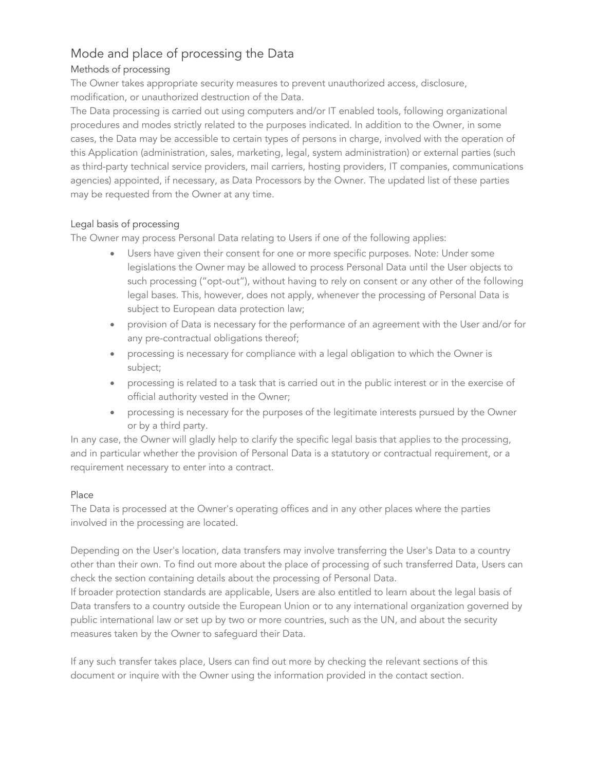# Mode and place of processing the Data

## Methods of processing

The Owner takes appropriate security measures to prevent unauthorized access, disclosure, modification, or unauthorized destruction of the Data.

The Data processing is carried out using computers and/or IT enabled tools, following organizational procedures and modes strictly related to the purposes indicated. In addition to the Owner, in some cases, the Data may be accessible to certain types of persons in charge, involved with the operation of this Application (administration, sales, marketing, legal, system administration) or external parties (such as third-party technical service providers, mail carriers, hosting providers, IT companies, communications agencies) appointed, if necessary, as Data Processors by the Owner. The updated list of these parties may be requested from the Owner at any time.

### Legal basis of processing

The Owner may process Personal Data relating to Users if one of the following applies:

- Users have given their consent for one or more specific purposes. Note: Under some legislations the Owner may be allowed to process Personal Data until the User objects to such processing ("opt-out"), without having to rely on consent or any other of the following legal bases. This, however, does not apply, whenever the processing of Personal Data is subject to European data protection law;
- provision of Data is necessary for the performance of an agreement with the User and/or for any pre-contractual obligations thereof;
- processing is necessary for compliance with a legal obligation to which the Owner is subject;
- processing is related to a task that is carried out in the public interest or in the exercise of official authority vested in the Owner;
- processing is necessary for the purposes of the legitimate interests pursued by the Owner or by a third party.

In any case, the Owner will gladly help to clarify the specific legal basis that applies to the processing, and in particular whether the provision of Personal Data is a statutory or contractual requirement, or a requirement necessary to enter into a contract.

### Place

The Data is processed at the Owner's operating offices and in any other places where the parties involved in the processing are located.

Depending on the User's location, data transfers may involve transferring the User's Data to a country other than their own. To find out more about the place of processing of such transferred Data, Users can check the section containing details about the processing of Personal Data.

If broader protection standards are applicable, Users are also entitled to learn about the legal basis of Data transfers to a country outside the European Union or to any international organization governed by public international law or set up by two or more countries, such as the UN, and about the security measures taken by the Owner to safeguard their Data.

If any such transfer takes place, Users can find out more by checking the relevant sections of this document or inquire with the Owner using the information provided in the contact section.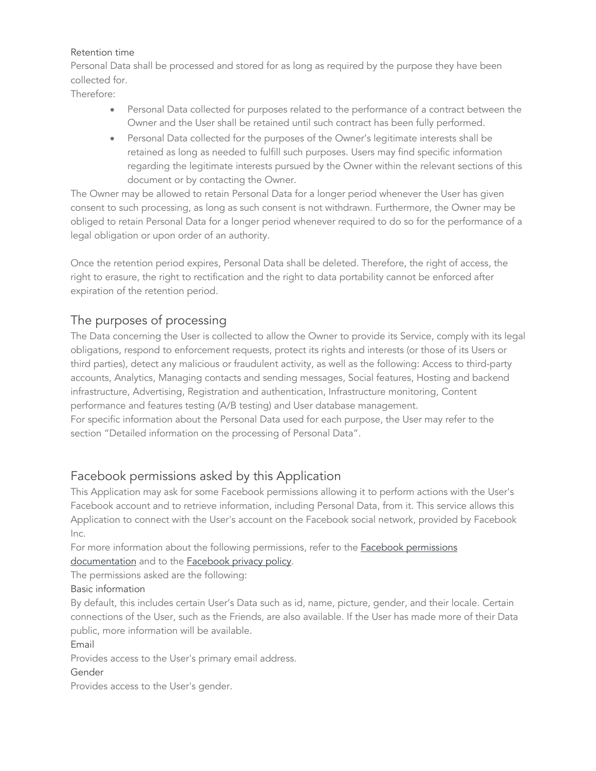#### Retention time

Personal Data shall be processed and stored for as long as required by the purpose they have been collected for.

Therefore:

- Personal Data collected for purposes related to the performance of a contract between the Owner and the User shall be retained until such contract has been fully performed.
- Personal Data collected for the purposes of the Owner's legitimate interests shall be retained as long as needed to fulfill such purposes. Users may find specific information regarding the legitimate interests pursued by the Owner within the relevant sections of this document or by contacting the Owner.

The Owner may be allowed to retain Personal Data for a longer period whenever the User has given consent to such processing, as long as such consent is not withdrawn. Furthermore, the Owner may be obliged to retain Personal Data for a longer period whenever required to do so for the performance of a legal obligation or upon order of an authority.

Once the retention period expires, Personal Data shall be deleted. Therefore, the right of access, the right to erasure, the right to rectification and the right to data portability cannot be enforced after expiration of the retention period.

# The purposes of processing

The Data concerning the User is collected to allow the Owner to provide its Service, comply with its legal obligations, respond to enforcement requests, protect its rights and interests (or those of its Users or third parties), detect any malicious or fraudulent activity, as well as the following: Access to third-party accounts, Analytics, Managing contacts and sending messages, Social features, Hosting and backend infrastructure, Advertising, Registration and authentication, Infrastructure monitoring, Content performance and features testing (A/B testing) and User database management. For specific information about the Personal Data used for each purpose, the User may refer to the section "Detailed information on the processing of Personal Data".

# Facebook permissions asked by this Application

This Application may ask for some Facebook permissions allowing it to perform actions with the User's Facebook account and to retrieve information, including Personal Data, from it. This service allows this Application to connect with the User's account on the Facebook social network, provided by Facebook Inc.

For more information about the following permissions, refer to the **Facebook permissions** documentation and to the **Facebook privacy policy**.

The permissions asked are the following:

Basic information

By default, this includes certain User's Data such as id, name, picture, gender, and their locale. Certain connections of the User, such as the Friends, are also available. If the User has made more of their Data public, more information will be available.

Email

Provides access to the User's primary email address.

Gender

Provides access to the User's gender.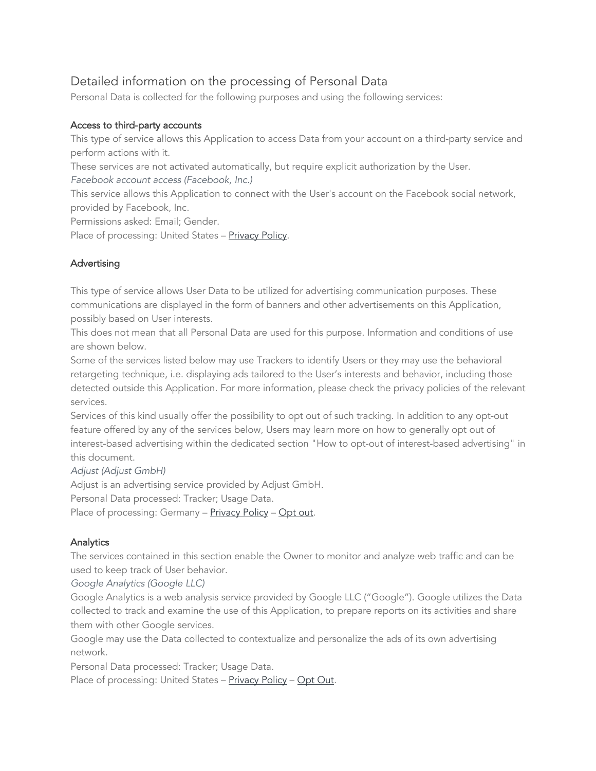# Detailed information on the processing of Personal Data

Personal Data is collected for the following purposes and using the following services:

### Access to third-party accounts

This type of service allows this Application to access Data from your account on a third-party service and perform actions with it.

These services are not activated automatically, but require explicit authorization by the User.

*Facebook account access (Facebook, Inc.)*

This service allows this Application to connect with the User's account on the Facebook social network, provided by Facebook, Inc.

Permissions asked: Email; Gender.

Place of processing: United States - Privacy Policy.

## Advertising

This type of service allows User Data to be utilized for advertising communication purposes. These communications are displayed in the form of banners and other advertisements on this Application, possibly based on User interests.

This does not mean that all Personal Data are used for this purpose. Information and conditions of use are shown below.

Some of the services listed below may use Trackers to identify Users or they may use the behavioral retargeting technique, i.e. displaying ads tailored to the User's interests and behavior, including those detected outside this Application. For more information, please check the privacy policies of the relevant services.

Services of this kind usually offer the possibility to opt out of such tracking. In addition to any opt-out feature offered by any of the services below, Users may learn more on how to generally opt out of interest-based advertising within the dedicated section "How to opt-out of interest-based advertising" in this document.

*Adjust (Adjust GmbH)*

Adjust is an advertising service provided by Adjust GmbH.

Personal Data processed: Tracker; Usage Data.

Place of processing: Germany - Privacy Policy - Opt out.

### **Analytics**

The services contained in this section enable the Owner to monitor and analyze web traffic and can be used to keep track of User behavior.

*Google Analytics (Google LLC)*

Google Analytics is a web analysis service provided by Google LLC ("Google"). Google utilizes the Data collected to track and examine the use of this Application, to prepare reports on its activities and share them with other Google services.

Google may use the Data collected to contextualize and personalize the ads of its own advertising network.

Personal Data processed: Tracker; Usage Data.

Place of processing: United States - Privacy Policy - Opt Out.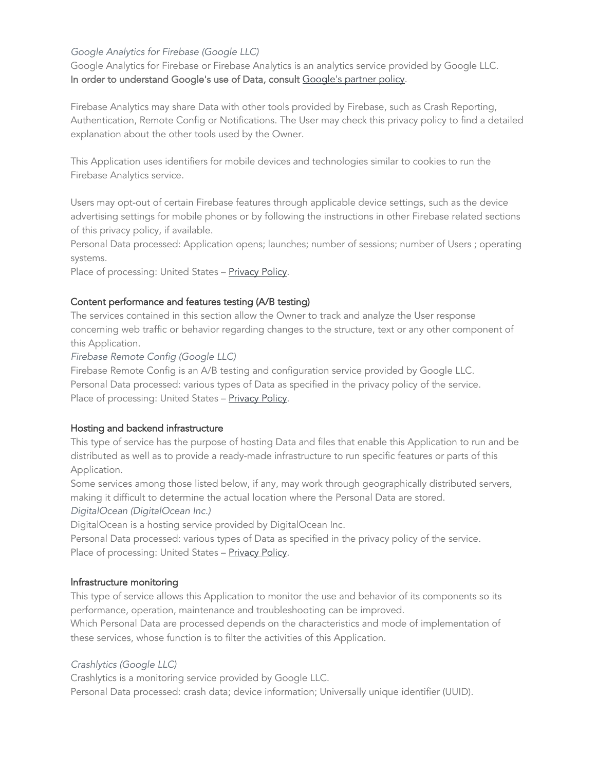### *Google Analytics for Firebase (Google LLC)*

Google Analytics for Firebase or Firebase Analytics is an analytics service provided by Google LLC. In order to understand Google's use of Data, consult Google's partner policy.

Firebase Analytics may share Data with other tools provided by Firebase, such as Crash Reporting, Authentication, Remote Config or Notifications. The User may check this privacy policy to find a detailed explanation about the other tools used by the Owner.

This Application uses identifiers for mobile devices and technologies similar to cookies to run the Firebase Analytics service.

Users may opt-out of certain Firebase features through applicable device settings, such as the device advertising settings for mobile phones or by following the instructions in other Firebase related sections of this privacy policy, if available.

Personal Data processed: Application opens; launches; number of sessions; number of Users ; operating systems.

Place of processing: United States - Privacy Policy.

#### Content performance and features testing (A/B testing)

The services contained in this section allow the Owner to track and analyze the User response concerning web traffic or behavior regarding changes to the structure, text or any other component of this Application.

*Firebase Remote Config (Google LLC)*

Firebase Remote Config is an A/B testing and configuration service provided by Google LLC. Personal Data processed: various types of Data as specified in the privacy policy of the service. Place of processing: United States – Privacy Policy.

### Hosting and backend infrastructure

This type of service has the purpose of hosting Data and files that enable this Application to run and be distributed as well as to provide a ready-made infrastructure to run specific features or parts of this Application.

Some services among those listed below, if any, may work through geographically distributed servers, making it difficult to determine the actual location where the Personal Data are stored.

*DigitalOcean (DigitalOcean Inc.)*

DigitalOcean is a hosting service provided by DigitalOcean Inc.

Personal Data processed: various types of Data as specified in the privacy policy of the service. Place of processing: United States – Privacy Policy.

#### Infrastructure monitoring

This type of service allows this Application to monitor the use and behavior of its components so its performance, operation, maintenance and troubleshooting can be improved.

Which Personal Data are processed depends on the characteristics and mode of implementation of these services, whose function is to filter the activities of this Application.

### *Crashlytics (Google LLC)*

Crashlytics is a monitoring service provided by Google LLC.

Personal Data processed: crash data; device information; Universally unique identifier (UUID).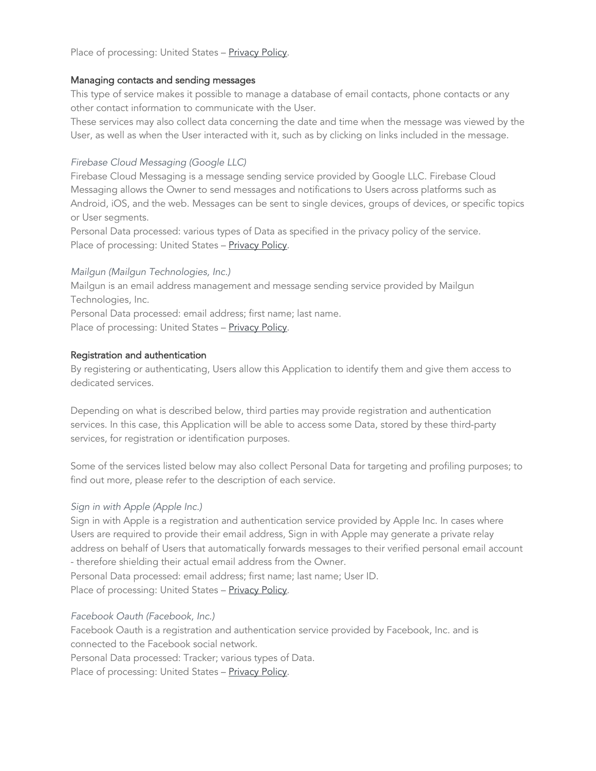Place of processing: United States - Privacy Policy.

#### Managing contacts and sending messages

This type of service makes it possible to manage a database of email contacts, phone contacts or any other contact information to communicate with the User.

These services may also collect data concerning the date and time when the message was viewed by the User, as well as when the User interacted with it, such as by clicking on links included in the message.

#### *Firebase Cloud Messaging (Google LLC)*

Firebase Cloud Messaging is a message sending service provided by Google LLC. Firebase Cloud Messaging allows the Owner to send messages and notifications to Users across platforms such as Android, iOS, and the web. Messages can be sent to single devices, groups of devices, or specific topics or User segments.

Personal Data processed: various types of Data as specified in the privacy policy of the service. Place of processing: United States - Privacy Policy.

#### *Mailgun (Mailgun Technologies, Inc.)*

Mailgun is an email address management and message sending service provided by Mailgun Technologies, Inc.

Personal Data processed: email address; first name; last name.

Place of processing: United States – Privacy Policy.

#### Registration and authentication

By registering or authenticating, Users allow this Application to identify them and give them access to dedicated services.

Depending on what is described below, third parties may provide registration and authentication services. In this case, this Application will be able to access some Data, stored by these third-party services, for registration or identification purposes.

Some of the services listed below may also collect Personal Data for targeting and profiling purposes; to find out more, please refer to the description of each service.

#### *Sign in with Apple (Apple Inc.)*

Sign in with Apple is a registration and authentication service provided by Apple Inc. In cases where Users are required to provide their email address, Sign in with Apple may generate a private relay address on behalf of Users that automatically forwards messages to their verified personal email account - therefore shielding their actual email address from the Owner.

Personal Data processed: email address; first name; last name; User ID. Place of processing: United States - Privacy Policy.

#### *Facebook Oauth (Facebook, Inc.)*

Facebook Oauth is a registration and authentication service provided by Facebook, Inc. and is connected to the Facebook social network.

Personal Data processed: Tracker; various types of Data.

Place of processing: United States - Privacy Policy.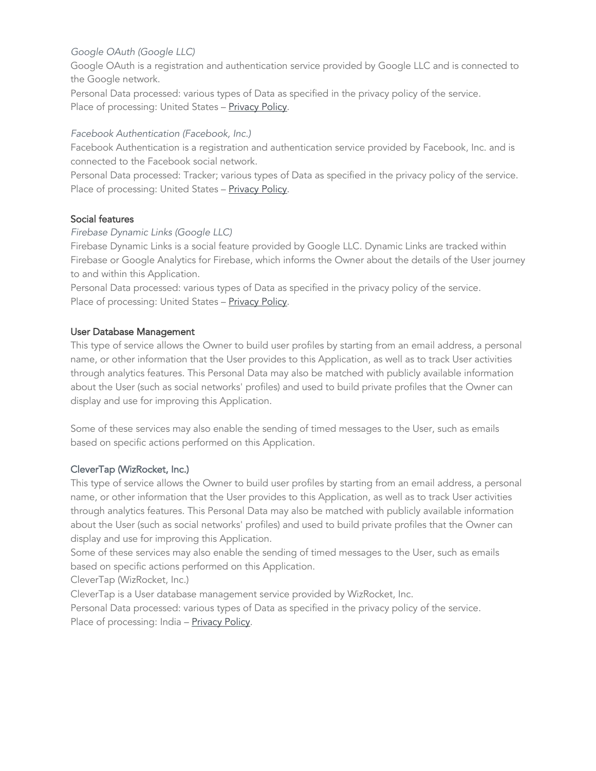### *Google OAuth (Google LLC)*

Google OAuth is a registration and authentication service provided by Google LLC and is connected to the Google network.

Personal Data processed: various types of Data as specified in the privacy policy of the service. Place of processing: United States - Privacy Policy.

#### *Facebook Authentication (Facebook, Inc.)*

Facebook Authentication is a registration and authentication service provided by Facebook, Inc. and is connected to the Facebook social network.

Personal Data processed: Tracker; various types of Data as specified in the privacy policy of the service. Place of processing: United States - Privacy Policy.

#### Social features

#### *Firebase Dynamic Links (Google LLC)*

Firebase Dynamic Links is a social feature provided by Google LLC. Dynamic Links are tracked within Firebase or Google Analytics for Firebase, which informs the Owner about the details of the User journey to and within this Application.

Personal Data processed: various types of Data as specified in the privacy policy of the service. Place of processing: United States - Privacy Policy.

#### User Database Management

This type of service allows the Owner to build user profiles by starting from an email address, a personal name, or other information that the User provides to this Application, as well as to track User activities through analytics features. This Personal Data may also be matched with publicly available information about the User (such as social networks' profiles) and used to build private profiles that the Owner can display and use for improving this Application.

Some of these services may also enable the sending of timed messages to the User, such as emails based on specific actions performed on this Application.

### CleverTap (WizRocket, Inc.)

This type of service allows the Owner to build user profiles by starting from an email address, a personal name, or other information that the User provides to this Application, as well as to track User activities through analytics features. This Personal Data may also be matched with publicly available information about the User (such as social networks' profiles) and used to build private profiles that the Owner can display and use for improving this Application.

Some of these services may also enable the sending of timed messages to the User, such as emails based on specific actions performed on this Application.

CleverTap (WizRocket, Inc.)

CleverTap is a User database management service provided by WizRocket, Inc.

Personal Data processed: various types of Data as specified in the privacy policy of the service. Place of processing: India - Privacy Policy.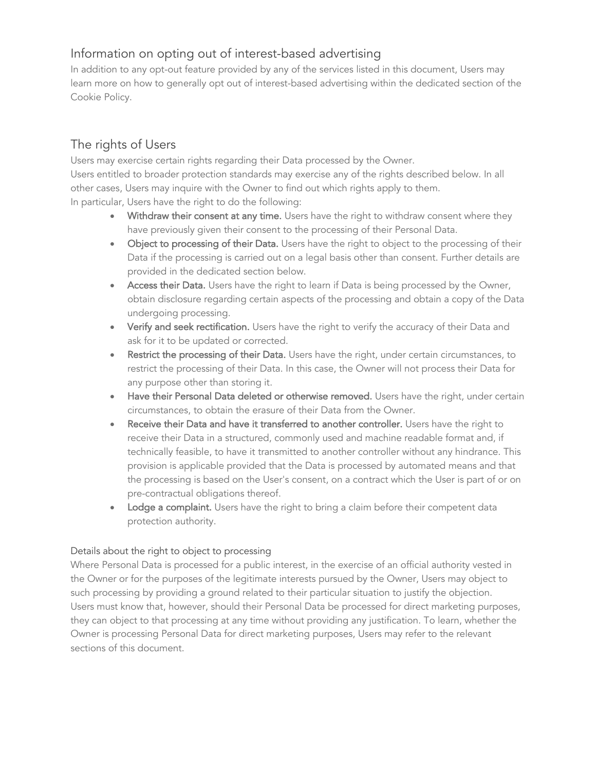# Information on opting out of interest-based advertising

In addition to any opt-out feature provided by any of the services listed in this document, Users may learn more on how to generally opt out of interest-based advertising within the dedicated section of the Cookie Policy.

# The rights of Users

Users may exercise certain rights regarding their Data processed by the Owner. Users entitled to broader protection standards may exercise any of the rights described below. In all other cases, Users may inquire with the Owner to find out which rights apply to them. In particular, Users have the right to do the following:

- Withdraw their consent at any time. Users have the right to withdraw consent where they have previously given their consent to the processing of their Personal Data.
- Object to processing of their Data. Users have the right to object to the processing of their Data if the processing is carried out on a legal basis other than consent. Further details are provided in the dedicated section below.
- Access their Data. Users have the right to learn if Data is being processed by the Owner, obtain disclosure regarding certain aspects of the processing and obtain a copy of the Data undergoing processing.
- Verify and seek rectification. Users have the right to verify the accuracy of their Data and ask for it to be updated or corrected.
- Restrict the processing of their Data. Users have the right, under certain circumstances, to restrict the processing of their Data. In this case, the Owner will not process their Data for any purpose other than storing it.
- Have their Personal Data deleted or otherwise removed. Users have the right, under certain circumstances, to obtain the erasure of their Data from the Owner.
- Receive their Data and have it transferred to another controller. Users have the right to receive their Data in a structured, commonly used and machine readable format and, if technically feasible, to have it transmitted to another controller without any hindrance. This provision is applicable provided that the Data is processed by automated means and that the processing is based on the User's consent, on a contract which the User is part of or on pre-contractual obligations thereof.
- Lodge a complaint. Users have the right to bring a claim before their competent data protection authority.

### Details about the right to object to processing

Where Personal Data is processed for a public interest, in the exercise of an official authority vested in the Owner or for the purposes of the legitimate interests pursued by the Owner, Users may object to such processing by providing a ground related to their particular situation to justify the objection. Users must know that, however, should their Personal Data be processed for direct marketing purposes, they can object to that processing at any time without providing any justification. To learn, whether the Owner is processing Personal Data for direct marketing purposes, Users may refer to the relevant sections of this document.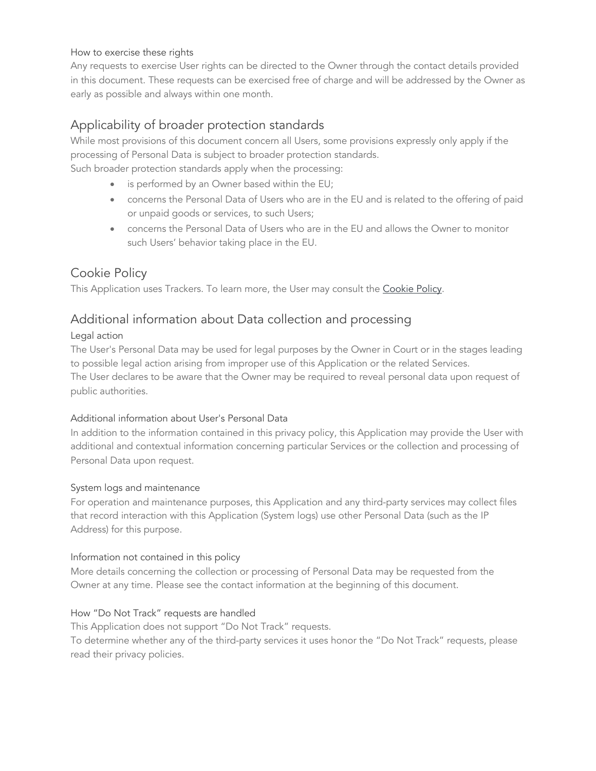#### How to exercise these rights

Any requests to exercise User rights can be directed to the Owner through the contact details provided in this document. These requests can be exercised free of charge and will be addressed by the Owner as early as possible and always within one month.

# Applicability of broader protection standards

While most provisions of this document concern all Users, some provisions expressly only apply if the processing of Personal Data is subject to broader protection standards. Such broader protection standards apply when the processing:

- is performed by an Owner based within the EU;
- concerns the Personal Data of Users who are in the EU and is related to the offering of paid or unpaid goods or services, to such Users;
- concerns the Personal Data of Users who are in the EU and allows the Owner to monitor such Users' behavior taking place in the EU.

## Cookie Policy

This Application uses Trackers. To learn more, the User may consult the Cookie Policy.

## Additional information about Data collection and processing

### Legal action

The User's Personal Data may be used for legal purposes by the Owner in Court or in the stages leading to possible legal action arising from improper use of this Application or the related Services. The User declares to be aware that the Owner may be required to reveal personal data upon request of public authorities.

### Additional information about User's Personal Data

In addition to the information contained in this privacy policy, this Application may provide the User with additional and contextual information concerning particular Services or the collection and processing of Personal Data upon request.

### System logs and maintenance

For operation and maintenance purposes, this Application and any third-party services may collect files that record interaction with this Application (System logs) use other Personal Data (such as the IP Address) for this purpose.

### Information not contained in this policy

More details concerning the collection or processing of Personal Data may be requested from the Owner at any time. Please see the contact information at the beginning of this document.

### How "Do Not Track" requests are handled

This Application does not support "Do Not Track" requests. To determine whether any of the third-party services it uses honor the "Do Not Track" requests, please read their privacy policies.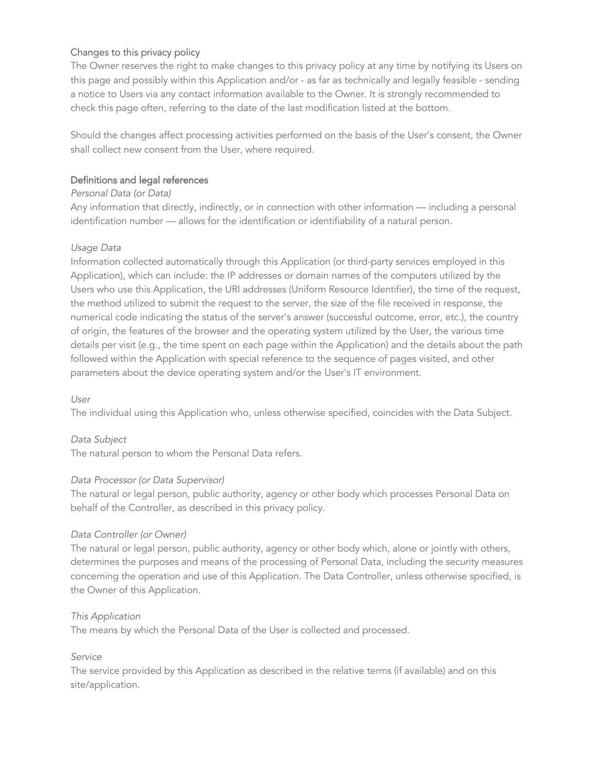#### Changes to this privacy policy

The Owner reserves the right to make changes to this privacy policy at any time by notifying its Users on this page and possibly within this Application and/or - as far as technically and legally feasible - sending a notice to Users via any contact information available to the Owner. It is strongly recommended to check this page often, referring to the date of the last modification listed at the bottom.

Should the changes affect processing activities performed on the basis of the User's consent, the Owner shall collect new consent from the User, where required.

#### Definitions and legal references

#### *Personal Data (or Data)*

Any information that directly, indirectly, or in connection with other information — including a personal identification number — allows for the identification or identifiability of a natural person.

#### *Usage Data*

Information collected automatically through this Application (or third-party services employed in this Application), which can include: the IP addresses or domain names of the computers utilized by the Users who use this Application, the URI addresses (Uniform Resource Identifier), the time of the request, the method utilized to submit the request to the server, the size of the file received in response, the numerical code indicating the status of the server's answer (successful outcome, error, etc.), the country of origin, the features of the browser and the operating system utilized by the User, the various time details per visit (e.g., the time spent on each page within the Application) and the details about the path followed within the Application with special reference to the sequence of pages visited, and other parameters about the device operating system and/or the User's IT environment.

#### *User*

The individual using this Application who, unless otherwise specified, coincides with the Data Subject.

#### *Data Subject*

The natural person to whom the Personal Data refers.

#### *Data Processor (or Data Supervisor)*

The natural or legal person, public authority, agency or other body which processes Personal Data on behalf of the Controller, as described in this privacy policy.

#### *Data Controller (or Owner)*

The natural or legal person, public authority, agency or other body which, alone or jointly with others, determines the purposes and means of the processing of Personal Data, including the security measures concerning the operation and use of this Application. The Data Controller, unless otherwise specified, is the Owner of this Application.

#### *This Application*

The means by which the Personal Data of the User is collected and processed.

### *Service*

The service provided by this Application as described in the relative terms (if available) and on this site/application.